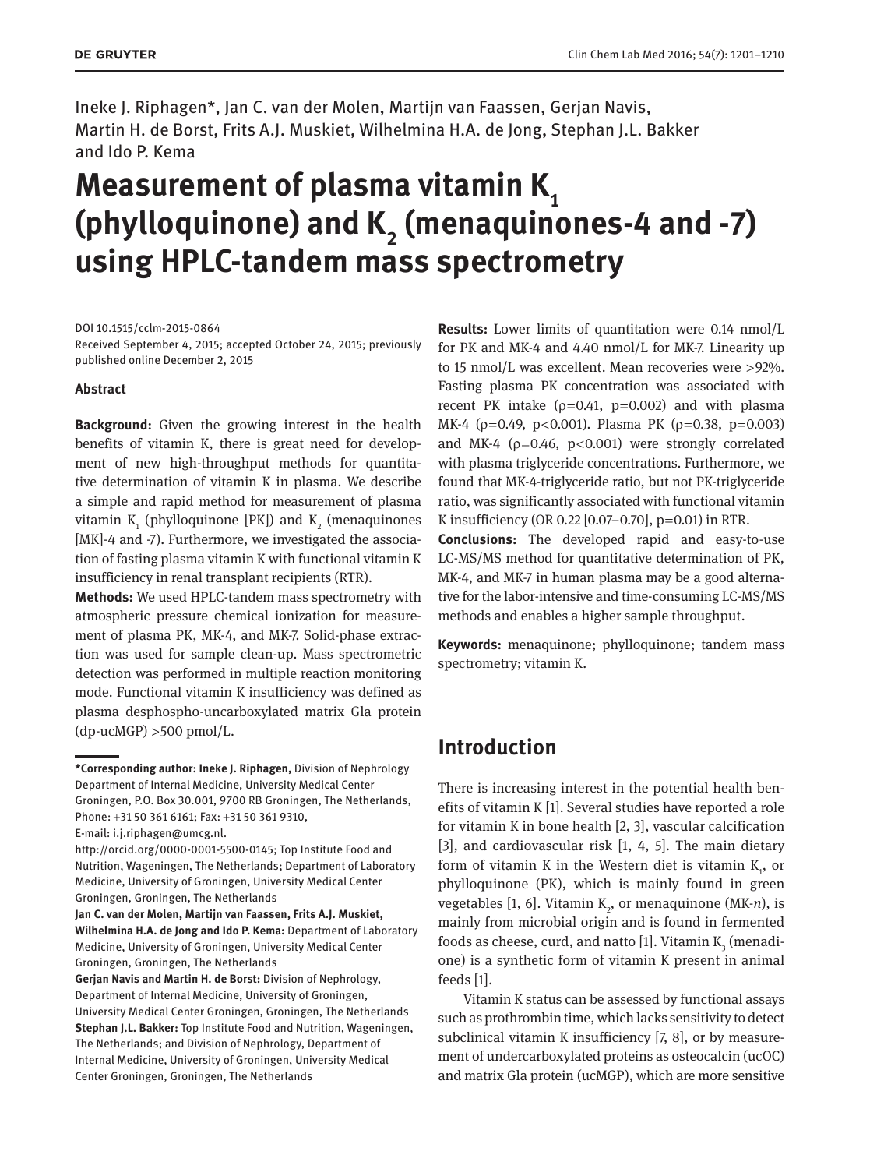Ineke J. Riphagen\*, Jan C. van der Molen, Martijn van Faassen, Gerjan Navis, Martin H. de Borst, Frits A.J. Muskiet, Wilhelmina H.A. de Jong, Stephan J.L. Bakker and Ido P. Kema

# **Measurement of plasma vitamin K**<sub>1</sub> (phylloquinone) and K<sub>2</sub> (menaquinones-4 and -7) **using HPLC-tandem mass spectrometry**

DOI 10.1515/cclm-2015-0864

Received September 4, 2015; accepted October 24, 2015; previously published online December 2, 2015

# **Abstract**

**Background:** Given the growing interest in the health benefits of vitamin K, there is great need for development of new high-throughput methods for quantitative determination of vitamin K in plasma. We describe a simple and rapid method for measurement of plasma vitamin  $K_1$  (phylloquinone [PK]) and  $K_2$  (menaquinones [MK]-4 and -7). Furthermore, we investigated the association of fasting plasma vitamin K with functional vitamin K insufficiency in renal transplant recipients (RTR).

**Methods:** We used HPLC-tandem mass spectrometry with atmospheric pressure chemical ionization for measurement of plasma PK, MK-4, and MK-7. Solid-phase extraction was used for sample clean-up. Mass spectrometric detection was performed in multiple reaction monitoring mode. Functional vitamin K insufficiency was defined as plasma desphospho-uncarboxylated matrix Gla protein  $(dp$ -ucMGP)  $>500$  pmol/L.

**Results:** Lower limits of quantitation were 0.14 nmol/L for PK and MK-4 and 4.40 nmol/L for MK-7. Linearity up to 15 nmol/L was excellent. Mean recoveries were >92%. Fasting plasma PK concentration was associated with recent PK intake  $(p=0.41, p=0.002)$  and with plasma MK-4 ( $\rho$ =0.49, p<0.001). Plasma PK ( $\rho$ =0.38, p=0.003) and MK-4 ( $p=0.46$ ,  $p<0.001$ ) were strongly correlated with plasma triglyceride concentrations. Furthermore, we found that MK-4-triglyceride ratio, but not PK-triglyceride ratio, was significantly associated with functional vitamin K insufficiency (OR 0.22 [0.07–0.70], p=0.01) in RTR.

**Conclusions:** The developed rapid and easy-to-use LC-MS/MS method for quantitative determination of PK, MK-4, and MK-7 in human plasma may be a good alternative for the labor-intensive and time-consuming LC-MS/MS methods and enables a higher sample throughput.

**Keywords:** menaquinone; phylloquinone; tandem mass spectrometry; vitamin K.

# **Introduction**

There is increasing interest in the potential health benefits of vitamin K [1]. Several studies have reported a role for vitamin K in bone health [2, 3], vascular calcification [3], and cardiovascular risk [1, 4, 5]. The main dietary form of vitamin K in the Western diet is vitamin  $\mathrm{K}_{\scriptscriptstyle{1}}$ , or phylloquinone (PK), which is mainly found in green vegetables [1, 6]. Vitamin K<sub>2</sub>, or menaquinone (MK-*n*), is mainly from microbial origin and is found in fermented foods as cheese, curd, and natto [1]. Vitamin  $\mathrm{K}_{_{\mathrm{3}}}$  (menadione) is a synthetic form of vitamin K present in animal feeds [1].

Vitamin K status can be assessed by functional assays such as prothrombin time, which lacks sensitivity to detect subclinical vitamin K insufficiency [7, 8], or by measurement of undercarboxylated proteins as osteocalcin (ucOC) and matrix Gla protein (ucMGP), which are more sensitive

**<sup>\*</sup>Corresponding author: Ineke J. Riphagen,** Division of Nephrology Department of Internal Medicine, University Medical Center Groningen, P.O. Box 30.001, 9700 RB Groningen, The Netherlands, Phone: +31 50 361 6161; Fax: +31 50 361 9310,

E-mail: [i.j.riphagen@umcg.nl.](mailto:i.j.riphagen@umcg.nl)

[http://orcid.org/0000-0001-5500-0145;](http://orcid.org/0000-0001-5500-0145) Top Institute Food and Nutrition, Wageningen, The Netherlands; Department of Laboratory Medicine, University of Groningen, University Medical Center Groningen, Groningen, The Netherlands

**Jan C. van der Molen, Martijn van Faassen, Frits A.J. Muskiet, Wilhelmina H.A. de Jong and Ido P. Kema:** Department of Laboratory Medicine, University of Groningen, University Medical Center Groningen, Groningen, The Netherlands

**Gerjan Navis and Martin H. de Borst:** Division of Nephrology, Department of Internal Medicine, University of Groningen, University Medical Center Groningen, Groningen, The Netherlands **Stephan J.L. Bakker:** Top Institute Food and Nutrition, Wageningen, The Netherlands; and Division of Nephrology, Department of Internal Medicine, University of Groningen, University Medical Center Groningen, Groningen, The Netherlands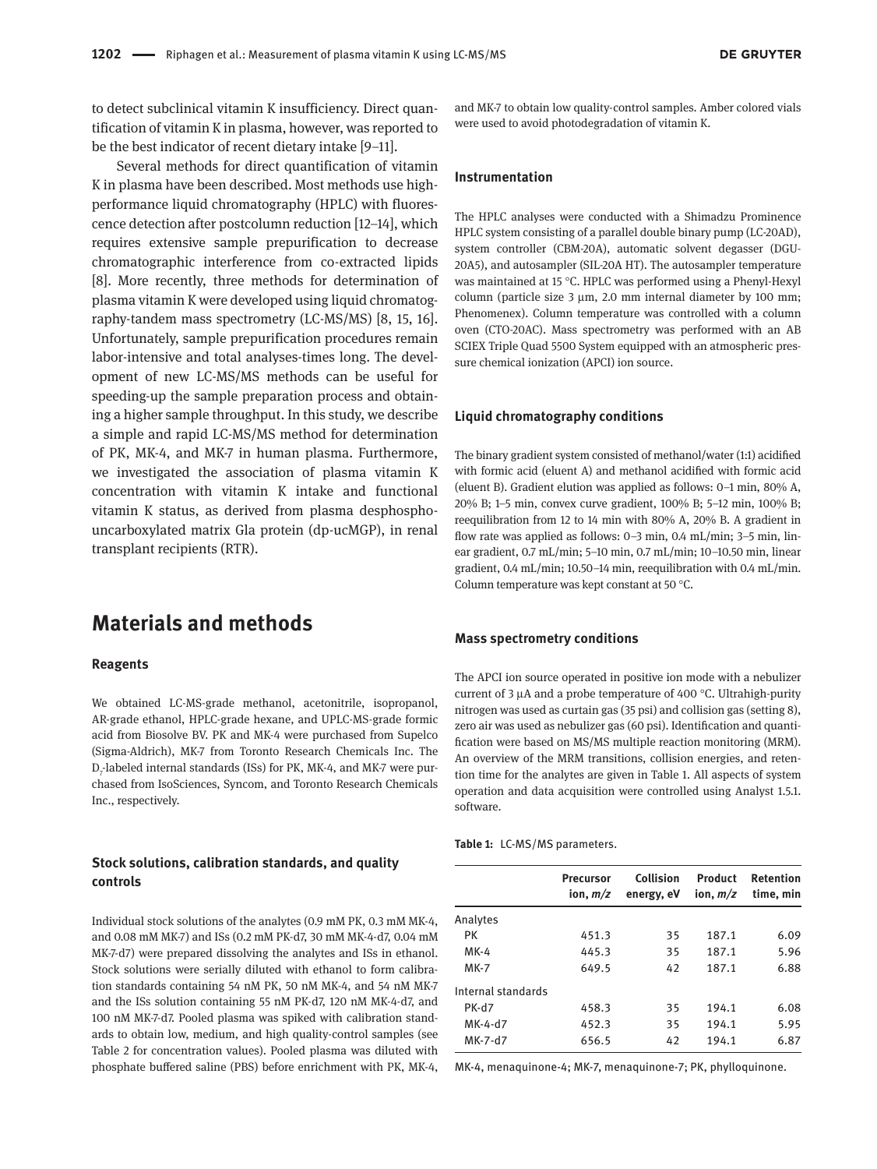**DE GRUYTER** 

to detect subclinical vitamin K insufficiency. Direct quantification of vitamin K in plasma, however, was reported to be the best indicator of recent dietary intake [9–11].

Several methods for direct quantification of vitamin K in plasma have been described. Most methods use highperformance liquid chromatography (HPLC) with fluorescence detection after postcolumn reduction [12–14], which requires extensive sample prepurification to decrease chromatographic interference from co-extracted lipids [8]. More recently, three methods for determination of plasma vitamin K were developed using liquid chromatography-tandem mass spectrometry (LC-MS/MS) [8, 15, 16]. Unfortunately, sample prepurification procedures remain labor-intensive and total analyses-times long. The development of new LC-MS/MS methods can be useful for speeding-up the sample preparation process and obtaining a higher sample throughput. In this study, we describe a simple and rapid LC-MS/MS method for determination of PK, MK-4, and MK-7 in human plasma. Furthermore, we investigated the association of plasma vitamin K concentration with vitamin K intake and functional vitamin K status, as derived from plasma desphosphouncarboxylated matrix Gla protein (dp-ucMGP), in renal transplant recipients (RTR).

# **Materials and methods**

### **Reagents**

We obtained LC-MS-grade methanol, acetonitrile, isopropanol, AR-grade ethanol, HPLC-grade hexane, and UPLC-MS-grade formic acid from Biosolve BV. PK and MK-4 were purchased from Supelco (Sigma-Aldrich), MK-7 from Toronto Research Chemicals Inc. The  $\mathrm{D}_7$ -labeled internal standards (ISs) for PK, MK-4, and MK-7 were purchased from IsoSciences, Syncom, and Toronto Research Chemicals Inc., respectively.

# **Stock solutions, calibration standards, and quality controls**

Individual stock solutions of the analytes (0.9 mM PK, 0.3 mM MK-4, and 0.08 mM MK-7) and ISs (0.2 mM PK-d7, 30 mM MK-4-d7, 0.04 mM MK-7-d7) were prepared dissolving the analytes and ISs in ethanol. Stock solutions were serially diluted with ethanol to form calibration standards containing 54 nM PK, 50 nM MK-4, and 54 nM MK-7 and the ISs solution containing 55 nM PK-d7, 120 nM MK-4-d7, and 100 nM MK-7-d7. Pooled plasma was spiked with calibration standards to obtain low, medium, and high quality-control samples (see Table 2 for concentration values). Pooled plasma was diluted with phosphate buffered saline (PBS) before enrichment with PK, MK-4, and MK-7 to obtain low quality-control samples. Amber colored vials were used to avoid photodegradation of vitamin K.

# **Instrumentation**

The HPLC analyses were conducted with a Shimadzu Prominence HPLC system consisting of a parallel double binary pump (LC-20AD), system controller (CBM-20A), automatic solvent degasser (DGU-20A5), and autosampler (SIL-20A HT). The autosampler temperature was maintained at 15 °C. HPLC was performed using a Phenyl-Hexyl column (particle size 3 μm, 2.0 mm internal diameter by 100 mm; Phenomenex). Column temperature was controlled with a column oven (CTO-20AC). Mass spectrometry was performed with an AB SCIEX Triple Quad 5500 System equipped with an atmospheric pressure chemical ionization (APCI) ion source.

#### **Liquid chromatography conditions**

The binary gradient system consisted of methanol/water (1:1) acidified with formic acid (eluent A) and methanol acidified with formic acid (eluent B). Gradient elution was applied as follows: 0–1 min, 80% A, 20% B; 1–5 min, convex curve gradient, 100% B; 5–12 min, 100% B; reequilibration from 12 to 14 min with 80% A, 20% B. A gradient in flow rate was applied as follows: 0–3 min, 0.4 mL/min; 3–5 min, linear gradient, 0.7 mL/min; 5–10 min, 0.7 mL/min; 10–10.50 min, linear gradient, 0.4 mL/min; 10.50–14 min, reequilibration with 0.4 mL/min. Column temperature was kept constant at 50 °C.

# **Mass spectrometry conditions**

The APCI ion source operated in positive ion mode with a nebulizer current of 3 μA and a probe temperature of 400 °C. Ultrahigh-purity nitrogen was used as curtain gas (35 psi) and collision gas (setting 8), zero air was used as nebulizer gas (60 psi). Identification and quantification were based on MS/MS multiple reaction monitoring (MRM). An overview of the MRM transitions, collision energies, and retention time for the analytes are given in Table 1. All aspects of system operation and data acquisition were controlled using Analyst 1.5.1. software.

#### **Table 1:** LC-MS/MS parameters.

|                    | <b>Precursor</b><br>ion, $m/z$ | Collision<br>energy, eV | Product<br>ion, $m/z$ | <b>Retention</b><br>time, min |
|--------------------|--------------------------------|-------------------------|-----------------------|-------------------------------|
| Analytes           |                                |                         |                       |                               |
| PК                 | 451.3                          | 35                      | 187.1                 | 6.09                          |
| MK-4               | 445.3                          | 35                      | 187.1                 | 5.96                          |
| <b>MK-7</b>        | 649.5                          | 42                      | 187.1                 | 6.88                          |
| Internal standards |                                |                         |                       |                               |
| PK-d7              | 458.3                          | 35                      | 194.1                 | 6.08                          |
| MK-4-d7            | 452.3                          | 35                      | 194.1                 | 5.95                          |
| MK-7-d7            | 656.5                          | 42                      | 194.1                 | 6.87                          |

MK-4, menaquinone-4; MK-7, menaquinone-7; PK, phylloquinone.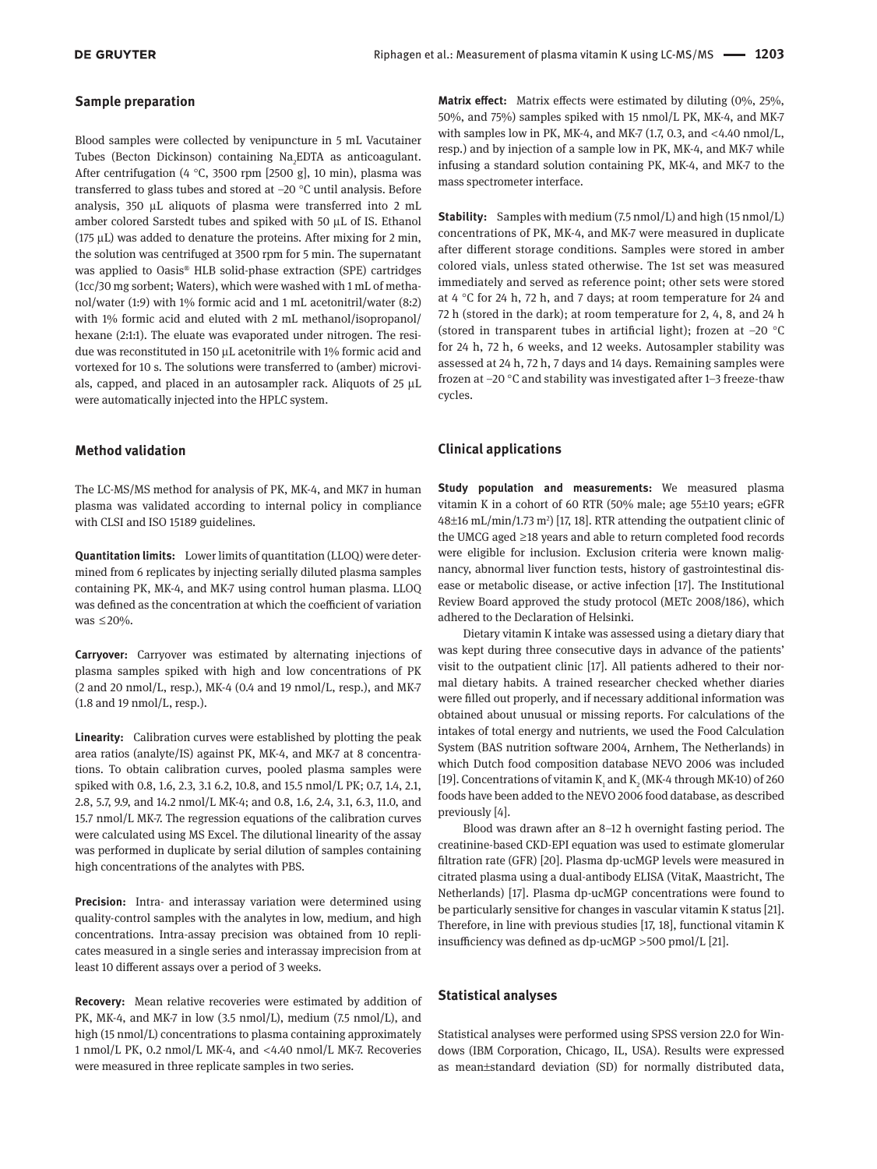### **Sample preparation**

Blood samples were collected by venipuncture in 5 mL Vacutainer Tubes (Becton Dickinson) containing Na<sub>2</sub>EDTA as anticoagulant. After centrifugation (4 °C, 3500 rpm [2500 g], 10 min), plasma was transferred to glass tubes and stored at –20 °C until analysis. Before analysis, 350 μL aliquots of plasma were transferred into 2 mL amber colored Sarstedt tubes and spiked with 50 μL of IS. Ethanol (175 μL) was added to denature the proteins. After mixing for 2 min, the solution was centrifuged at 3500 rpm for 5 min. The supernatant was applied to Oasis® HLB solid-phase extraction (SPE) cartridges (1cc/30 mg sorbent; Waters), which were washed with 1 mL of methanol/water (1:9) with 1% formic acid and 1 mL acetonitril/water (8:2) with 1% formic acid and eluted with 2 mL methanol/isopropanol/ hexane (2:1:1). The eluate was evaporated under nitrogen. The residue was reconstituted in 150 μL acetonitrile with 1% formic acid and vortexed for 10 s. The solutions were transferred to (amber) microvials, capped, and placed in an autosampler rack. Aliquots of 25 μL were automatically injected into the HPLC system.

### **Method validation**

The LC-MS/MS method for analysis of PK, MK-4, and MK7 in human plasma was validated according to internal policy in compliance with CLSI and ISO 15189 guidelines.

**Quantitation limits:** Lower limits of quantitation (LLOQ) were determined from 6 replicates by injecting serially diluted plasma samples containing PK, MK-4, and MK-7 using control human plasma. LLOQ was defined as the concentration at which the coefficient of variation was  $\leq$ 20%.

**Carryover:** Carryover was estimated by alternating injections of plasma samples spiked with high and low concentrations of PK (2 and 20 nmol/L, resp.), MK-4 (0.4 and 19 nmol/L, resp.), and MK-7 (1.8 and 19 nmol/L, resp.).

**Linearity:** Calibration curves were established by plotting the peak area ratios (analyte/IS) against PK, MK-4, and MK-7 at 8 concentrations. To obtain calibration curves, pooled plasma samples were spiked with 0.8, 1.6, 2.3, 3.1 6.2, 10.8, and 15.5 nmol/L PK; 0.7, 1.4, 2.1, 2.8, 5.7, 9.9, and 14.2 nmol/L MK-4; and 0.8, 1.6, 2.4, 3.1, 6.3, 11.0, and 15.7 nmol/L MK-7. The regression equations of the calibration curves were calculated using MS Excel. The dilutional linearity of the assay was performed in duplicate by serial dilution of samples containing high concentrations of the analytes with PBS.

**Precision:** Intra- and interassay variation were determined using quality-control samples with the analytes in low, medium, and high concentrations. Intra-assay precision was obtained from 10 replicates measured in a single series and interassay imprecision from at least 10 different assays over a period of 3 weeks.

**Recovery:** Mean relative recoveries were estimated by addition of PK, MK-4, and MK-7 in low (3.5 nmol/L), medium (7.5 nmol/L), and high (15 nmol/L) concentrations to plasma containing approximately 1 nmol/L PK, 0.2 nmol/L MK-4, and <4.40 nmol/L MK-7. Recoveries were measured in three replicate samples in two series.

**Matrix effect:** Matrix effects were estimated by diluting (0%, 25%, 50%, and 75%) samples spiked with 15 nmol/L PK, MK-4, and MK-7 with samples low in PK, MK-4, and MK-7 (1.7, 0.3, and  $\langle 4.40 \text{ nmol/L}$ , resp.) and by injection of a sample low in PK, MK-4, and MK-7 while infusing a standard solution containing PK, MK-4, and MK-7 to the mass spectrometer interface.

**Stability:** Samples with medium (7.5 nmol/L) and high (15 nmol/L) concentrations of PK, MK-4, and MK-7 were measured in duplicate after different storage conditions. Samples were stored in amber colored vials, unless stated otherwise. The 1st set was measured immediately and served as reference point; other sets were stored at 4 °C for 24 h, 72 h, and 7 days; at room temperature for 24 and 72 h (stored in the dark); at room temperature for 2, 4, 8, and 24 h (stored in transparent tubes in artificial light); frozen at –20 °C for 24 h, 72 h, 6 weeks, and 12 weeks. Autosampler stability was assessed at 24 h, 72 h, 7 days and 14 days. Remaining samples were frozen at –20 °C and stability was investigated after 1–3 freeze-thaw cycles.

# **Clinical applications**

**Study population and measurements:** We measured plasma vitamin K in a cohort of 60 RTR (50% male; age 55±10 years; eGFR  $48\pm16$  mL/min/1.73 m<sup>2</sup>) [17, 18]. RTR attending the outpatient clinic of the UMCG aged ≥18 years and able to return completed food records were eligible for inclusion. Exclusion criteria were known malignancy, abnormal liver function tests, history of gastrointestinal disease or metabolic disease, or active infection [17]. The Institutional Review Board approved the study protocol (METc 2008/186), which adhered to the Declaration of Helsinki.

Dietary vitamin K intake was assessed using a dietary diary that was kept during three consecutive days in advance of the patients' visit to the outpatient clinic [17]. All patients adhered to their normal dietary habits. A trained researcher checked whether diaries were filled out properly, and if necessary additional information was obtained about unusual or missing reports. For calculations of the intakes of total energy and nutrients, we used the Food Calculation System (BAS nutrition software 2004, Arnhem, The Netherlands) in which Dutch food composition database NEVO 2006 was included [19]. Concentrations of vitamin  $K_1$  and  $K_2$  (MK-4 through MK-10) of 260 foods have been added to the NEVO 2006 food database, as described previously [4].

Blood was drawn after an 8–12 h overnight fasting period. The creatinine-based CKD-EPI equation was used to estimate glomerular filtration rate (GFR) [20]. Plasma dp-ucMGP levels were measured in citrated plasma using a dual-antibody ELISA (VitaK, Maastricht, The Netherlands) [17]. Plasma dp-ucMGP concentrations were found to be particularly sensitive for changes in vascular vitamin K status [21]. Therefore, in line with previous studies [17, 18], functional vitamin K insufficiency was defined as dp-ucMGP  > 500 pmol/L [21].

### **Statistical analyses**

Statistical analyses were performed using SPSS version 22.0 for Windows (IBM Corporation, Chicago, IL, USA). Results were expressed as mean±standard deviation (SD) for normally distributed data,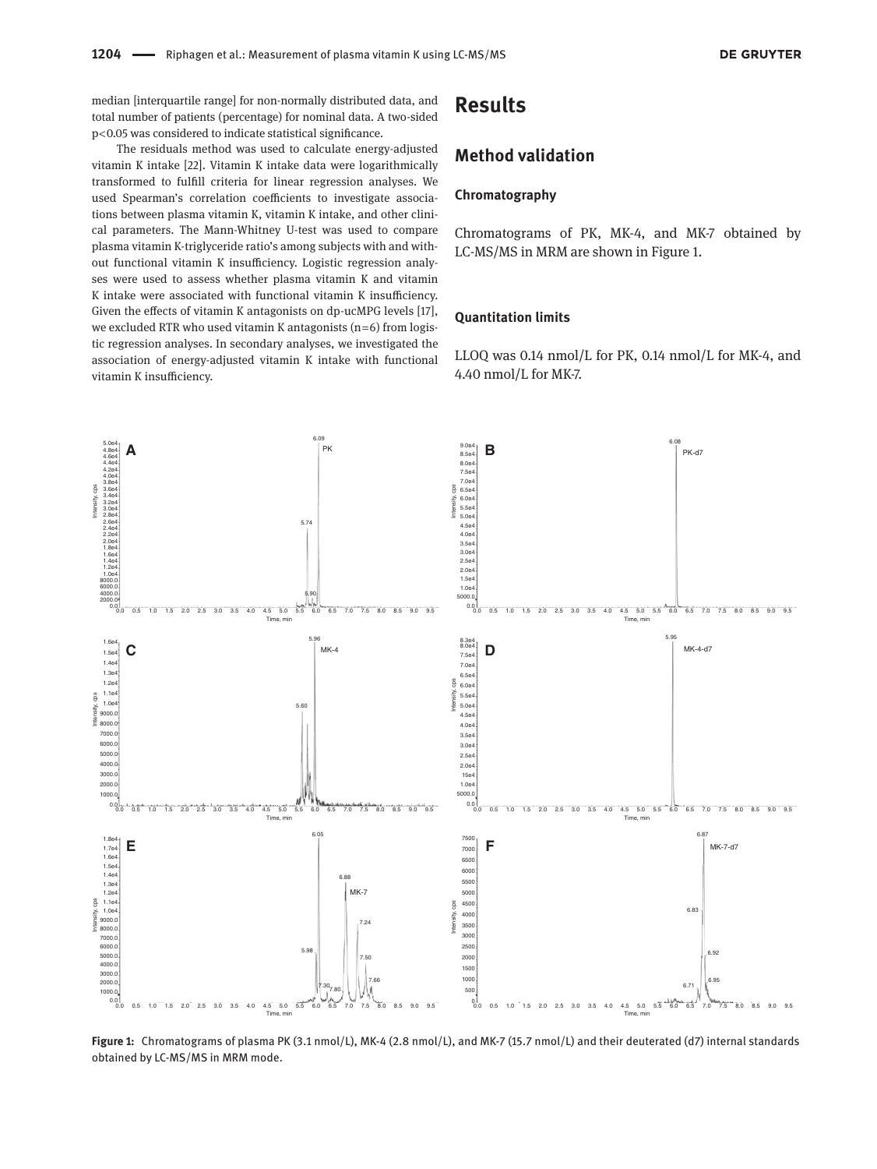median [interquartile range] for non-normally distributed data, and total number of patients (percentage) for nominal data. A two-sided p < 0.05 was considered to indicate statistical significance.

The residuals method was used to calculate energy-adjusted vitamin K intake [22]. Vitamin K intake data were logarithmically transformed to fulfill criteria for linear regression analyses. We used Spearman's correlation coefficients to investigate associations between plasma vitamin K, vitamin K intake, and other clinical parameters. The Mann-Whitney U-test was used to compare plasma vitamin K-triglyceride ratio's among subjects with and without functional vitamin K insufficiency. Logistic regression analyses were used to assess whether plasma vitamin K and vitamin K intake were associated with functional vitamin K insufficiency. Given the effects of vitamin K antagonists on dp-ucMPG levels [17], we excluded RTR who used vitamin K antagonists  $(n=6)$  from logistic regression analyses. In secondary analyses, we investigated the association of energy-adjusted vitamin K intake with functional vitamin K insufficiency.

# **Results**

# **Method validation**

# **Chromatography**

Chromatograms of PK, MK-4, and MK-7 obtained by LC-MS/MS in MRM are shown in Figure 1.

# **Quantitation limits**

LLOQ was 0.14 nmol/L for PK, 0.14 nmol/L for MK-4, and 4.40 nmol/L for MK-7.



**Figure 1:** Chromatograms of plasma PK (3.1 nmol/L), MK-4 (2.8 nmol/L), and MK-7 (15.7 nmol/L) and their deuterated (d7) internal standards obtained by LC-MS/MS in MRM mode.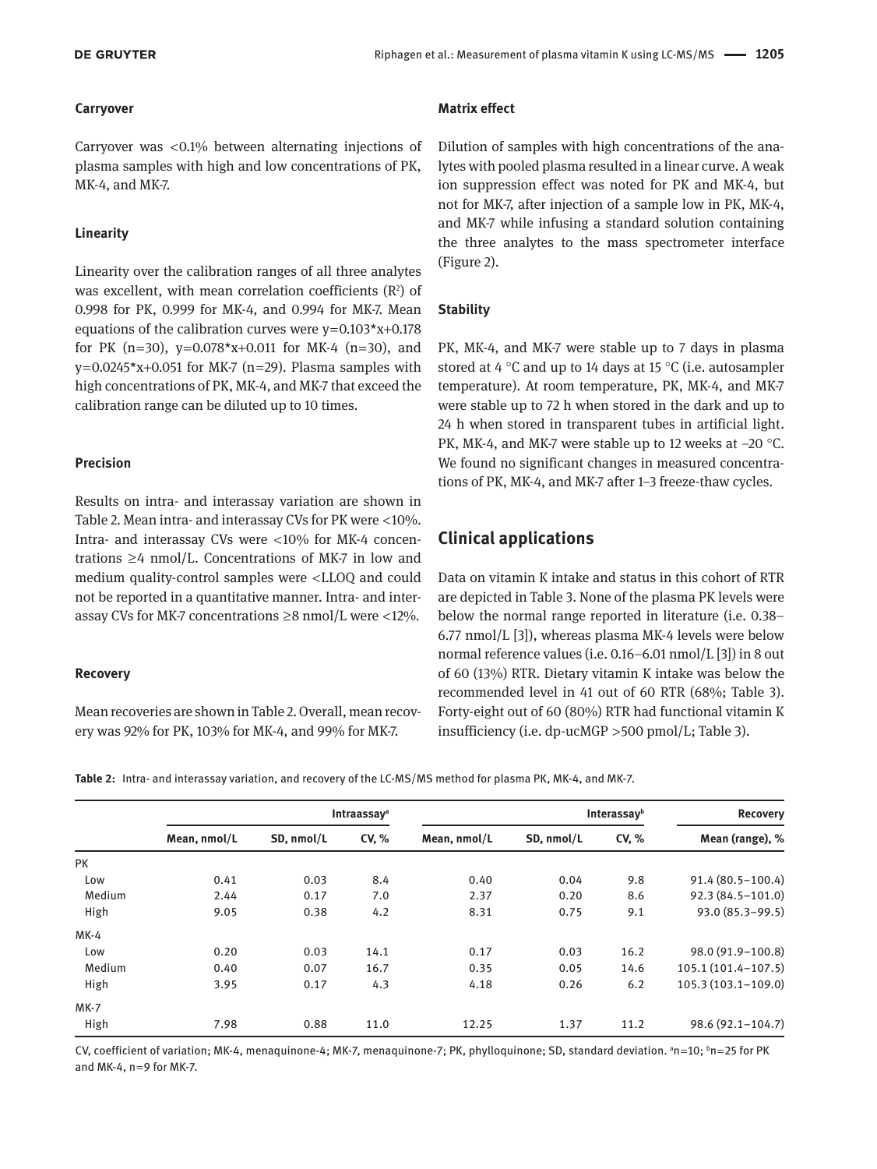# **Carryover**

Carryover was  $\langle 0.1\%$  between alternating injections of plasma samples with high and low concentrations of PK, MK-4, and MK-7.

# **Linearity**

Linearity over the calibration ranges of all three analytes was excellent, with mean correlation coefficients  $(R<sup>2</sup>)$  of 0.998 for PK, 0.999 for MK-4, and 0.994 for MK-7. Mean equations of the calibration curves were  $y=0.103*x+0.178$ for PK (n=30),  $y=0.078*x+0.011$  for MK-4 (n=30), and  $v=0.0245*x+0.051$  for MK-7 (n=29). Plasma samples with high concentrations of PK, MK-4, and MK-7 that exceed the calibration range can be diluted up to 10 times.

# **Precision**

Results on intra- and interassay variation are shown in Table 2. Mean intra- and interassay CVs for PK were  $<$ 10%. Intra- and interassay CVs were <10% for MK-4 concentrations  $\geq 4$  nmol/L. Concentrations of MK-7 in low and medium quality-control samples were <LLOQ and could not be reported in a quantitative manner. Intra- and interassay CVs for MK-7 concentrations  $\geq 8$  nmol/L were <12%.

# **Recovery**

Mean recoveries are shown in Table 2. Overall, mean recovery was 92% for PK, 103% for MK-4, and 99% for MK-7.

# **Matrix effect**

Dilution of samples with high concentrations of the analytes with pooled plasma resulted in a linear curve. A weak ion suppression effect was noted for PK and MK-4, but not for MK-7, after injection of a sample low in PK, MK-4, and MK-7 while infusing a standard solution containing the three analytes to the mass spectrometer interface (Figure 2).

# **Stability**

PK, MK-4, and MK-7 were stable up to 7 days in plasma stored at 4 °C and up to 14 days at 15 °C (i.e. autosampler temperature). At room temperature, PK, MK-4, and MK-7 were stable up to 72 h when stored in the dark and up to 24 h when stored in transparent tubes in artificial light. PK, MK-4, and MK-7 were stable up to 12 weeks at  $-20$  °C. We found no significant changes in measured concentrations of PK, MK-4, and MK-7 after 1–3 freeze-thaw cycles.

# **Clinical applications**

Data on vitamin K intake and status in this cohort of RTR are depicted in Table 3. None of the plasma PK levels were below the normal range reported in literature (i.e. 0.38– 6.77 nmol/L [3]), whereas plasma MK-4 levels were below normal reference values (i.e. 0.16–6.01 nmol/L [3]) in 8 out of 60 (13%) RTR. Dietary vitamin K intake was below the recommended level in 41 out of 60 RTR (68%; Table 3). Forty-eight out of 60 (80%) RTR had functional vitamin K insufficiency (i.e. dp-ucMGP > 500 pmol/L; Table 3).

**Table 2:** Intra- and interassay variation, and recovery of the LC-MS/MS method for plasma PK, MK-4, and MK-7.

|             | Intraassav <sup>a</sup> |            |       | Interassayb  |            |       | <b>Recovery</b>      |
|-------------|-------------------------|------------|-------|--------------|------------|-------|----------------------|
|             | Mean, nmol/L            | SD, nmol/L | CV, % | Mean, nmol/L | SD, nmol/L | CV, % | Mean (range), %      |
| <b>PK</b>   |                         |            |       |              |            |       |                      |
| Low         | 0.41                    | 0.03       | 8.4   | 0.40         | 0.04       | 9.8   | $91.4(80.5 - 100.4)$ |
| Medium      | 2.44                    | 0.17       | 7.0   | 2.37         | 0.20       | 8.6   | $92.3(84.5 - 101.0)$ |
| High        | 9.05                    | 0.38       | 4.2   | 8.31         | 0.75       | 9.1   | $93.0(85.3 - 99.5)$  |
| $MK-4$      |                         |            |       |              |            |       |                      |
| Low         | 0.20                    | 0.03       | 14.1  | 0.17         | 0.03       | 16.2  | 98.0 (91.9-100.8)    |
| Medium      | 0.40                    | 0.07       | 16.7  | 0.35         | 0.05       | 14.6  | $105.1(101.4-107.5)$ |
| High        | 3.95                    | 0.17       | 4.3   | 4.18         | 0.26       | 6.2   | $105.3(103.1-109.0)$ |
| <b>MK-7</b> |                         |            |       |              |            |       |                      |
| High        | 7.98                    | 0.88       | 11.0  | 12.25        | 1.37       | 11.2  | $98.6(92.1 - 104.7)$ |

CV, coefficient of variation; MK-4, menaquinone-4; MK-7, menaquinone-7; PK, phylloquinone; SD, standard deviation. ªn=10; <sup>b</sup>n=25 for PK and MK-4,  $n=9$  for MK-7.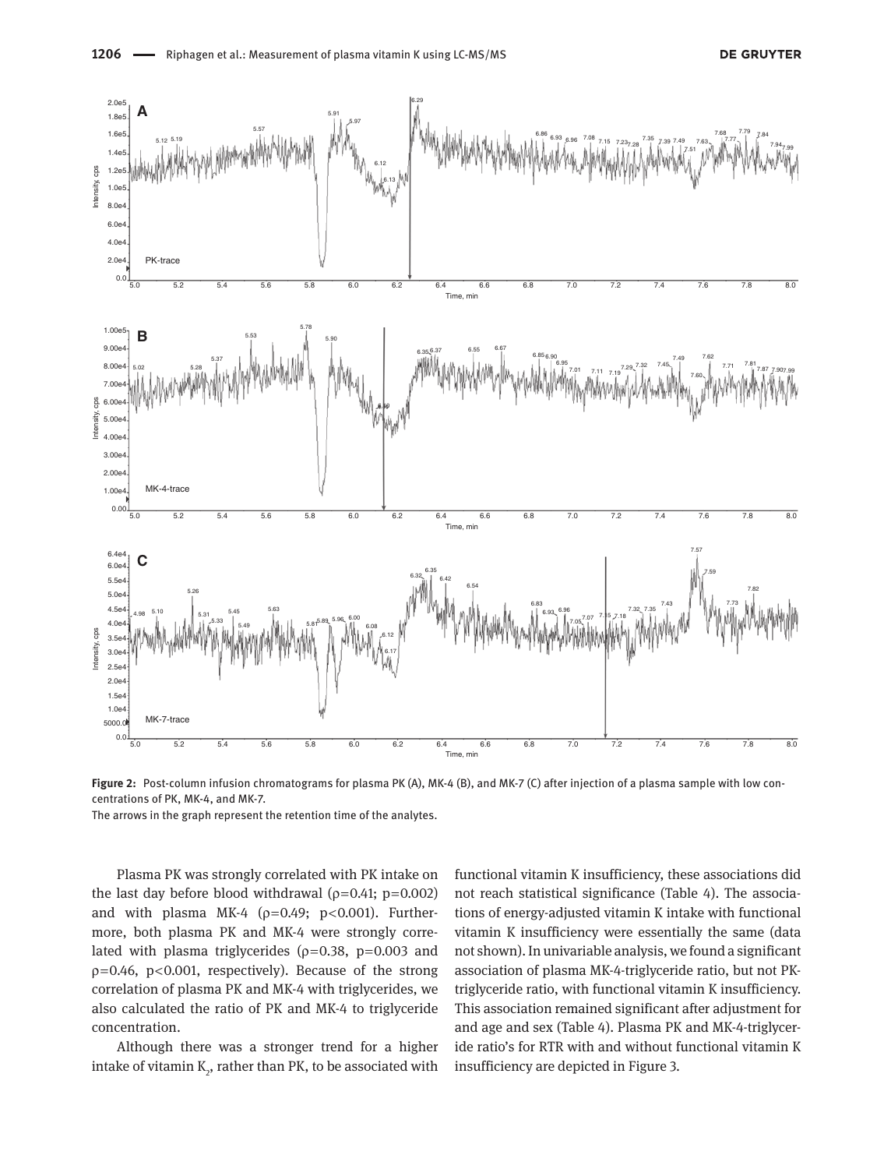

**Figure 2:** Post-column infusion chromatograms for plasma PK (A), MK-4 (B), and MK-7 (C) after injection of a plasma sample with low concentrations of PK, MK-4, and MK-7.

The arrows in the graph represent the retention time of the analytes.

Plasma PK was strongly correlated with PK intake on the last day before blood withdrawal ( $\rho$ =0.41; p=0.002) and with plasma MK-4 ( $\rho$ =0.49; p<0.001). Furthermore, both plasma PK and MK-4 were strongly correlated with plasma triglycerides ( $p=0.38$ ,  $p=0.003$  and ρ= 0.46, p < 0.001, respectively). Because of the strong correlation of plasma PK and MK-4 with triglycerides, we also calculated the ratio of PK and MK-4 to triglyceride concentration.

Although there was a stronger trend for a higher intake of vitamin  $\mathrm{K}_\mathrm{2}$ , rather than PK, to be associated with functional vitamin K insufficiency, these associations did not reach statistical significance (Table 4). The associations of energy-adjusted vitamin K intake with functional vitamin K insufficiency were essentially the same (data not shown). In univariable analysis, we found a significant association of plasma MK-4-triglyceride ratio, but not PKtriglyceride ratio, with functional vitamin K insufficiency. This association remained significant after adjustment for and age and sex (Table 4). Plasma PK and MK-4-triglyceride ratio's for RTR with and without functional vitamin K insufficiency are depicted in Figure 3.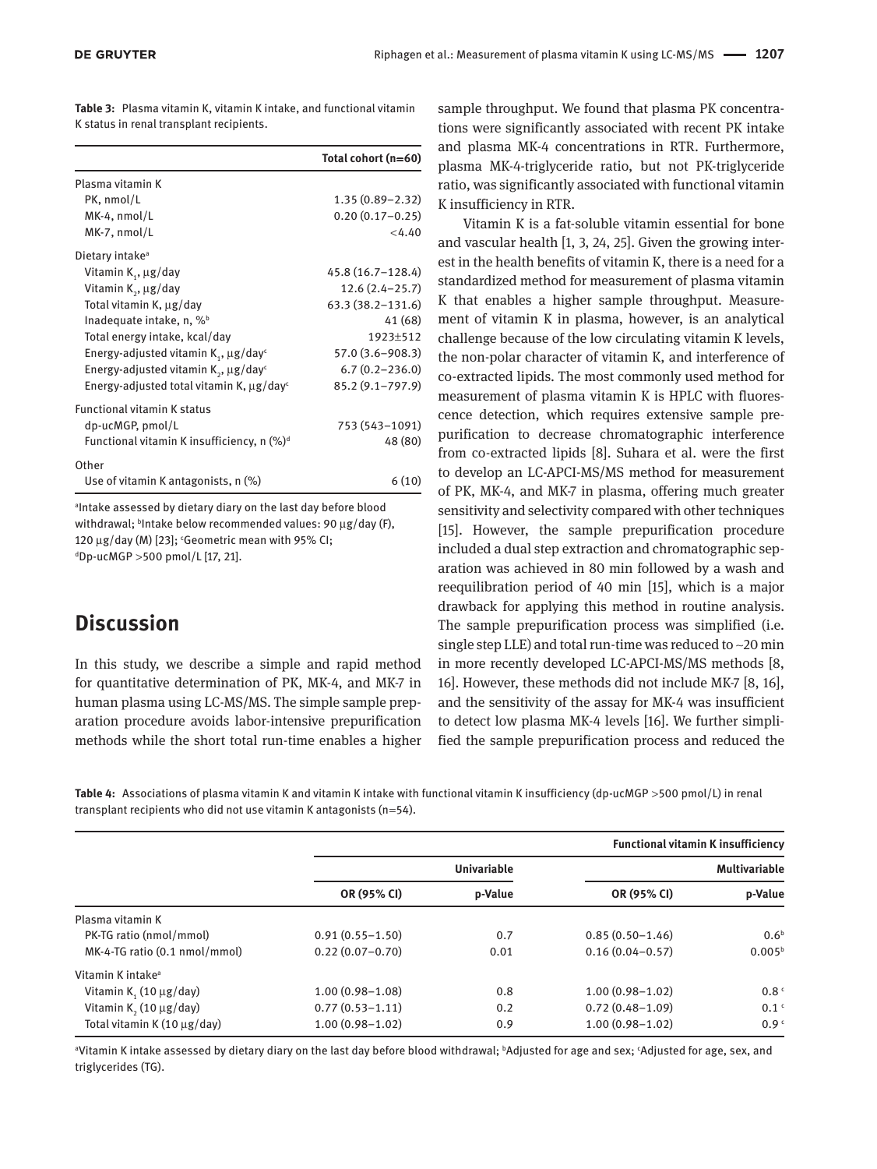|                                          | Table 3: Plasma vitamin K, vitamin K intake, and functional vitamin |
|------------------------------------------|---------------------------------------------------------------------|
| K status in renal transplant recipients. |                                                                     |

|                                                            | Total cohort (n=60)  |
|------------------------------------------------------------|----------------------|
| Plasma vitamin K                                           |                      |
| PK, nmol/L                                                 | $1.35(0.89 - 2.32)$  |
| MK-4, nmol/L                                               | $0.20(0.17 - 0.25)$  |
| MK-7, nmol/L                                               | < 4.40               |
| Dietary intake <sup>a</sup>                                |                      |
| Vitamin $K_1$ , $\mu$ g/day                                | $45.8(16.7 - 128.4)$ |
| Vitamin $K_2$ , $\mu$ g/day                                | $12.6(2.4-25.7)$     |
| Total vitamin K, µg/day                                    | $63.3(38.2 - 131.6)$ |
| Inadequate intake, $n, \%$                                 | 41 (68)              |
| Total energy intake, kcal/day                              | 1923±512             |
| Energy-adjusted vitamin $K_{1}$ , $\mu$ g/day <sup>c</sup> | $57.0(3.6 - 908.3)$  |
| Energy-adjusted vitamin $K_2$ , $\mu$ g/day <sup>c</sup>   | $6.7(0.2 - 236.0)$   |
| Energy-adjusted total vitamin K, $\mu$ g/day <sup>c</sup>  | $85.2(9.1 - 797.9)$  |
| <b>Functional vitamin K status</b>                         |                      |
| dp-ucMGP, pmol/L                                           | 753 (543-1091)       |
| Functional vitamin K insufficiency, n $(\%)^d$             | 48 (80)              |
| Other                                                      |                      |
| Use of vitamin K antagonists, n (%)                        | 6(10)                |

a Intake assessed by dietary diary on the last day before blood withdrawal; b Intake below recommended values: 90 μg/day (F), 120  $\mu$ g/day (M) [23]; 'Geometric mean with 95% CI; d Dp-ucMGP  > 500 pmol/L [17, 21].

# **Discussion**

In this study, we describe a simple and rapid method for quantitative determination of PK, MK-4, and MK-7 in human plasma using LC-MS/MS. The simple sample preparation procedure avoids labor-intensive prepurification methods while the short total run-time enables a higher

sample throughput. We found that plasma PK concentrations were significantly associated with recent PK intake and plasma MK-4 concentrations in RTR. Furthermore, plasma MK-4-triglyceride ratio, but not PK-triglyceride ratio, was significantly associated with functional vitamin K insufficiency in RTR.

Vitamin K is a fat-soluble vitamin essential for bone and vascular health [1, 3, 24, 25]. Given the growing interest in the health benefits of vitamin K, there is a need for a standardized method for measurement of plasma vitamin K that enables a higher sample throughput. Measurement of vitamin K in plasma, however, is an analytical challenge because of the low circulating vitamin K levels, the non-polar character of vitamin K, and interference of co-extracted lipids. The most commonly used method for measurement of plasma vitamin K is HPLC with fluorescence detection, which requires extensive sample prepurification to decrease chromatographic interference from co-extracted lipids [8]. Suhara et al. were the first to develop an LC-APCI-MS/MS method for measurement of PK, MK-4, and MK-7 in plasma, offering much greater sensitivity and selectivity compared with other techniques [15]. However, the sample prepurification procedure included a dual step extraction and chromatographic separation was achieved in 80 min followed by a wash and reequilibration period of 40 min [15], which is a major drawback for applying this method in routine analysis. The sample prepurification process was simplified (i.e. single step LLE) and total run-time was reduced to  $\sim$  20 min in more recently developed LC-APCI-MS/MS methods [8, 16]. However, these methods did not include MK-7 [8, 16], and the sensitivity of the assay for MK-4 was insufficient to detect low plasma MK-4 levels [16]. We further simplified the sample prepurification process and reduced the

**Table 4:** Associations of plasma vitamin K and vitamin K intake with functional vitamin K insufficiency (dp-ucMGP  > 500 pmol/L) in renal transplant recipients who did not use vitamin K antagonists (n = 54).

|                                         | <b>Functional vitamin K insufficiency</b> |                    |                      |                    |  |
|-----------------------------------------|-------------------------------------------|--------------------|----------------------|--------------------|--|
|                                         |                                           | <b>Univariable</b> | <b>Multivariable</b> |                    |  |
|                                         | OR (95% CI)                               | p-Value            | OR (95% CI)          | p-Value            |  |
| Plasma vitamin K                        |                                           |                    |                      |                    |  |
| PK-TG ratio (nmol/mmol)                 | $0.91(0.55 - 1.50)$                       | 0.7                | $0.85(0.50-1.46)$    | 0.6 <sup>b</sup>   |  |
| MK-4-TG ratio (0.1 nmol/mmol)           | $0.22(0.07-0.70)$                         | 0.01               | $0.16(0.04 - 0.57)$  | 0.005 <sup>b</sup> |  |
| Vitamin K intake <sup>a</sup>           |                                           |                    |                      |                    |  |
| Vitamin K, $(10 \mu g/day)$             | $1.00(0.98 - 1.08)$                       | 0.8                | $1.00(0.98 - 1.02)$  | 0.8 <sup>c</sup>   |  |
| Vitamin K <sub>2</sub> (10 $\mu$ g/day) | $0.77(0.53 - 1.11)$                       | 0.2                | $0.72(0.48 - 1.09)$  | 0.1 <sup>c</sup>   |  |
| Total vitamin $K(10 \mu g/day)$         | $1.00(0.98 - 1.02)$                       | 0.9                | $1.00(0.98 - 1.02)$  | 0.9 <sup>c</sup>   |  |

a Vitamin K intake assessed by dietary diary on the last day before blood withdrawal; b Adjusted for age and sex; c Adjusted for age, sex, and triglycerides (TG).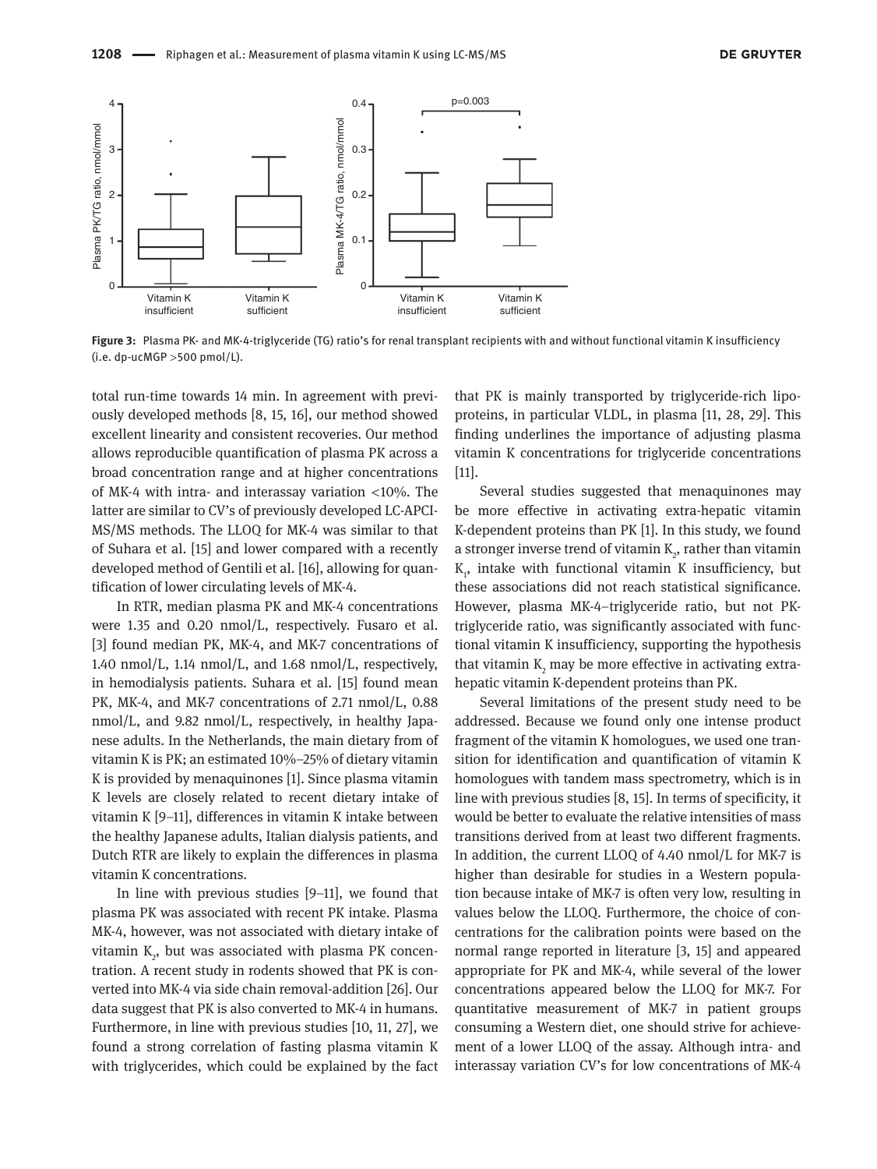

**Figure 3:** Plasma PK- and MK-4-triglyceride (TG) ratio's for renal transplant recipients with and without functional vitamin K insufficiency  $(i.e. dp$ -ucMGP > 500 pmol/L).

total run-time towards 14 min. In agreement with previously developed methods [8, 15, 16], our method showed excellent linearity and consistent recoveries. Our method allows reproducible quantification of plasma PK across a broad concentration range and at higher concentrations of MK-4 with intra- and interassay variation  $\langle 10\% \rangle$ . The latter are similar to CV's of previously developed LC-APCI-MS/MS methods. The LLOQ for MK-4 was similar to that of Suhara et al. [15] and lower compared with a recently developed method of Gentili et al. [16], allowing for quantification of lower circulating levels of MK-4.

In RTR, median plasma PK and MK-4 concentrations were 1.35 and 0.20 nmol/L, respectively. Fusaro et al. [3] found median PK, MK-4, and MK-7 concentrations of 1.40 nmol/L, 1.14 nmol/L, and 1.68 nmol/L, respectively, in hemodialysis patients. Suhara et al. [15] found mean PK, MK-4, and MK-7 concentrations of 2.71 nmol/L, 0.88 nmol/L, and 9.82 nmol/L, respectively, in healthy Japanese adults. In the Netherlands, the main dietary from of vitamin K is PK; an estimated 10%–25% of dietary vitamin K is provided by menaquinones [1]. Since plasma vitamin K levels are closely related to recent dietary intake of vitamin K [9–11], differences in vitamin K intake between the healthy Japanese adults, Italian dialysis patients, and Dutch RTR are likely to explain the differences in plasma vitamin K concentrations.

In line with previous studies [9–11], we found that plasma PK was associated with recent PK intake. Plasma MK-4, however, was not associated with dietary intake of vitamin  $\mathrm{K}_\mathrm{2}$ , but was associated with plasma PK concentration. A recent study in rodents showed that PK is converted into MK-4 via side chain removal-addition [26]. Our data suggest that PK is also converted to MK-4 in humans. Furthermore, in line with previous studies [10, 11, 27], we found a strong correlation of fasting plasma vitamin K with triglycerides, which could be explained by the fact

that PK is mainly transported by triglyceride-rich lipoproteins, in particular VLDL, in plasma [11, 28, 29]. This finding underlines the importance of adjusting plasma vitamin K concentrations for triglyceride concentrations [11].

Several studies suggested that menaquinones may be more effective in activating extra-hepatic vitamin K-dependent proteins than PK [1]. In this study, we found a stronger inverse trend of vitamin  $\mathrm{K}_2$ , rather than vitamin  $K_{1}$ , intake with functional vitamin K insufficiency, but these associations did not reach statistical significance. However, plasma MK-4–triglyceride ratio, but not PKtriglyceride ratio, was significantly associated with functional vitamin K insufficiency, supporting the hypothesis that vitamin  $\mathrm{K}_\mathrm{2}$  may be more effective in activating extrahepatic vitamin K-dependent proteins than PK.

Several limitations of the present study need to be addressed. Because we found only one intense product fragment of the vitamin K homologues, we used one transition for identification and quantification of vitamin K homologues with tandem mass spectrometry, which is in line with previous studies [8, 15]. In terms of specificity, it would be better to evaluate the relative intensities of mass transitions derived from at least two different fragments. In addition, the current LLOQ of 4.40 nmol/L for MK-7 is higher than desirable for studies in a Western population because intake of MK-7 is often very low, resulting in values below the LLOQ. Furthermore, the choice of concentrations for the calibration points were based on the normal range reported in literature [3, 15] and appeared appropriate for PK and MK-4, while several of the lower concentrations appeared below the LLOQ for MK-7. For quantitative measurement of MK-7 in patient groups consuming a Western diet, one should strive for achievement of a lower LLOQ of the assay. Although intra- and interassay variation CV's for low concentrations of MK-4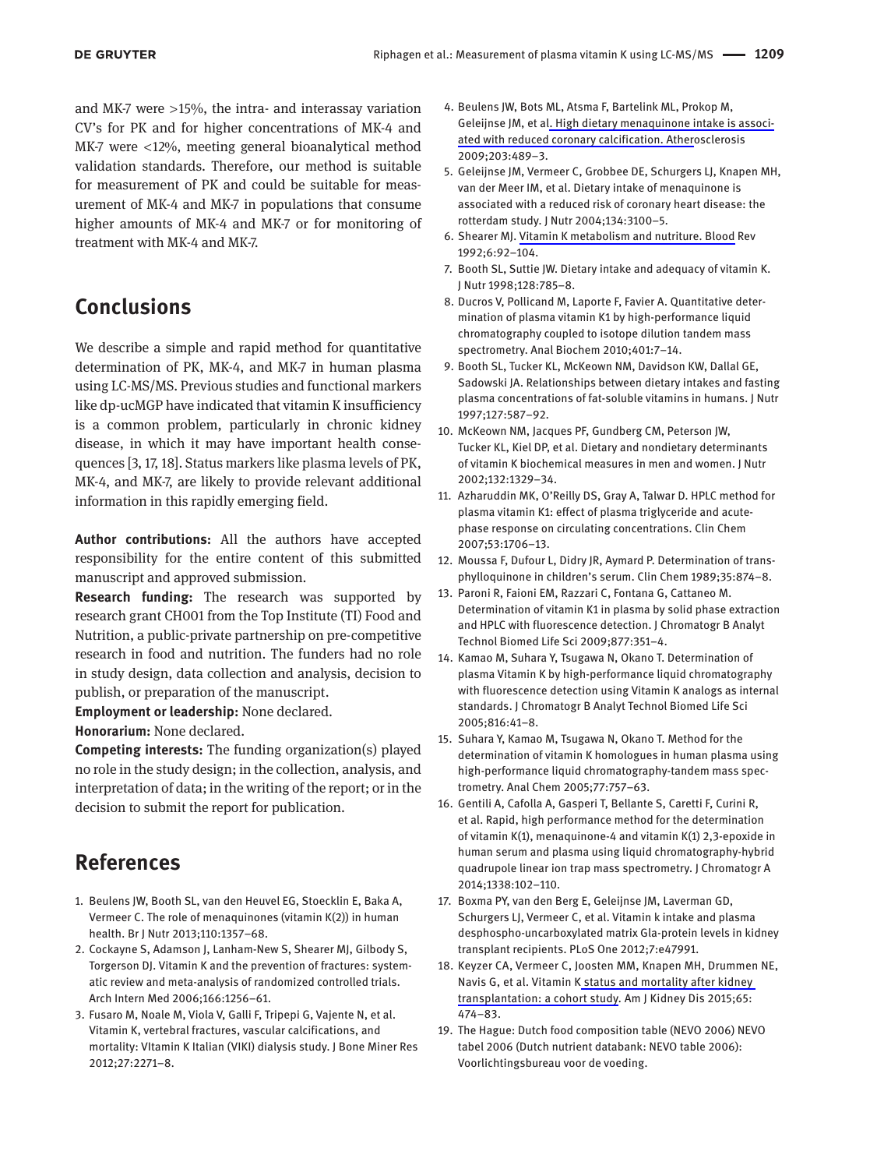and MK-7 were  $>15\%$ , the intra- and interassay variation CV's for PK and for higher concentrations of MK-4 and  $MK-7$  were  $\langle 12\%$ , meeting general bioanalytical method validation standards. Therefore, our method is suitable for measurement of PK and could be suitable for measurement of MK-4 and MK-7 in populations that consume higher amounts of MK-4 and MK-7 or for monitoring of treatment with MK-4 and MK-7.

# **Conclusions**

We describe a simple and rapid method for quantitative determination of PK, MK-4, and MK-7 in human plasma using LC-MS/MS. Previous studies and functional markers like dp-ucMGP have indicated that vitamin K insufficiency is a common problem, particularly in chronic kidney disease, in which it may have important health consequences [3, 17, 18]. Status markers like plasma levels of PK, MK-4, and MK-7, are likely to provide relevant additional information in this rapidly emerging field.

**Author contributions:** All the authors have accepted responsibility for the entire content of this submitted manuscript and approved submission.

**Research funding:** The research was supported by research grant CH001 from the Top Institute (TI) Food and Nutrition, a public-private partnership on pre-competitive research in food and nutrition. The funders had no role in study design, data collection and analysis, decision to publish, or preparation of the manuscript.

**Employment or leadership:** None declared.

**Honorarium:** None declared.

**Competing interests:** The funding organization(s) played no role in the study design; in the collection, analysis, and interpretation of data; in the writing of the report; or in the decision to submit the report for publication.

# **References**

- 1. Beulens JW, Booth SL, van den Heuvel EG, Stoecklin E, Baka A, Vermeer C. The role of menaquinones (vitamin K(2)) in human health. Br J Nutr 2013;110:1357–68.
- 2. Cockayne S, Adamson J, Lanham-New S, Shearer MJ, Gilbody S, Torgerson DJ. Vitamin K and the prevention of fractures: systematic review and meta-analysis of randomized controlled trials. Arch Intern Med 2006;166:1256–61.
- 3. Fusaro M, Noale M, Viola V, Galli F, Tripepi G, Vajente N, et al. Vitamin K, vertebral fractures, vascular calcifications, and mortality: VItamin K Italian (VIKI) dialysis study. J Bone Miner Res 2012;27:2271–8.
- 4. Beulens JW, Bots ML, Atsma F, Bartelink ML, Prokop M, Geleijnse JM, et al. High dietary menaquinone intake is associated with reduced coronary calcification. Atherosclerosis 2009;203:489–3.
- 5. Geleijnse JM, Vermeer C, Grobbee DE, Schurgers LJ, Knapen MH, van der Meer IM, et al. Dietary intake of menaquinone is associated with a reduced risk of coronary heart disease: the rotterdam study. J Nutr 2004;134:3100–5.
- 6. Shearer MJ. Vitamin K metabolism and nutriture. Blood Rev 1992;6:92–104.
- 7. Booth SL, Suttie JW. Dietary intake and adequacy of vitamin K. J Nutr 1998;128:785–8.
- 8. Ducros V, Pollicand M, Laporte F, Favier A. Quantitative determination of plasma vitamin K1 by high-performance liquid chromatography coupled to isotope dilution tandem mass spectrometry. Anal Biochem 2010;401:7–14.
- 9. Booth SL, Tucker KL, McKeown NM, Davidson KW, Dallal GE, Sadowski JA. Relationships between dietary intakes and fasting plasma concentrations of fat-soluble vitamins in humans. J Nutr 1997;127:587–92.
- 10. McKeown NM, Jacques PF, Gundberg CM, Peterson JW, Tucker KL, Kiel DP, et al. Dietary and nondietary determinants of vitamin K biochemical measures in men and women. J Nutr 2002;132:1329–34.
- 11. Azharuddin MK, O'Reilly DS, Gray A, Talwar D. HPLC method for plasma vitamin K1: effect of plasma triglyceride and acutephase response on circulating concentrations. Clin Chem 2007;53:1706–13.
- 12. Moussa F, Dufour L, Didry JR, Aymard P. Determination of transphylloquinone in children's serum. Clin Chem 1989;35:874–8.
- 13. Paroni R, Faioni EM, Razzari C, Fontana G, Cattaneo M. Determination of vitamin K1 in plasma by solid phase extraction and HPLC with fluorescence detection. J Chromatogr B Analyt Technol Biomed Life Sci 2009;877:351–4.
- 14. Kamao M, Suhara Y, Tsugawa N, Okano T. Determination of plasma Vitamin K by high-performance liquid chromatography with fluorescence detection using Vitamin K analogs as internal standards. J Chromatogr B Analyt Technol Biomed Life Sci 2005;816:41–8.
- 15. Suhara Y, Kamao M, Tsugawa N, Okano T. Method for the determination of vitamin K homologues in human plasma using high-performance liquid chromatography-tandem mass spectrometry. Anal Chem 2005;77:757–63.
- 16. Gentili A, Cafolla A, Gasperi T, Bellante S, Caretti F, Curini R, et al. Rapid, high performance method for the determination of vitamin K(1), menaquinone-4 and vitamin K(1) 2,3-epoxide in human serum and plasma using liquid chromatography-hybrid quadrupole linear ion trap mass spectrometry. J Chromatogr A 2014;1338:102–110.
- 17. Boxma PY, van den Berg E, Geleijnse JM, Laverman GD, Schurgers LJ, Vermeer C, et al. Vitamin k intake and plasma desphospho-uncarboxylated matrix Gla-protein levels in kidney transplant recipients. PLoS One 2012;7:e47991.
- 18. Keyzer CA, Vermeer C, Joosten MM, Knapen MH, Drummen NE, Navis G, et al. Vitamin K status and mortality after kidney transplantation: a cohort study. Am J Kidney Dis 2015;65: 474–83.
- 19. The Hague: Dutch food composition table (NEVO 2006) NEVO tabel 2006 (Dutch nutrient databank: NEVO table 2006): Voorlichtingsbureau voor de voeding.